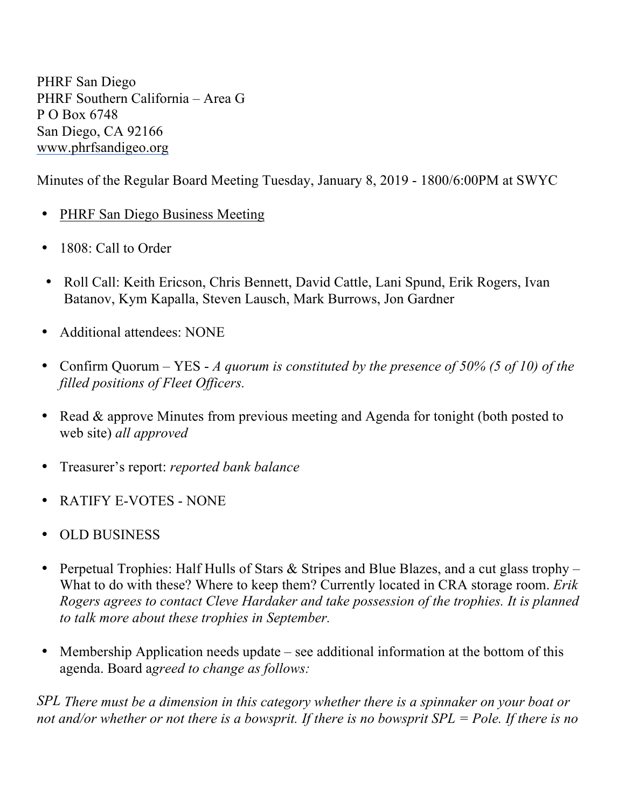PHRF San Diego PHRF Southern California – Area G P O Box 6748 San Diego, CA 92166 www.phrfsandigeo.org

Minutes of the Regular Board Meeting Tuesday, January 8, 2019 - 1800/6:00PM at SWYC

- PHRF San Diego Business Meeting
- 1808: Call to Order
- Roll Call: Keith Ericson, Chris Bennett, David Cattle, Lani Spund, Erik Rogers, Ivan Batanov, Kym Kapalla, Steven Lausch, Mark Burrows, Jon Gardner
- Additional attendees: NONE
- Confirm Quorum YES *A quorum is constituted by the presence of 50% (5 of 10) of the filled positions of Fleet Officers.*
- Read & approve Minutes from previous meeting and Agenda for tonight (both posted to web site) *all approved*
- Treasurer's report: *reported bank balance*
- RATIFY E-VOTES NONE
- OLD BUSINESS
- Perpetual Trophies: Half Hulls of Stars & Stripes and Blue Blazes, and a cut glass trophy What to do with these? Where to keep them? Currently located in CRA storage room. *Erik Rogers agrees to contact Cleve Hardaker and take possession of the trophies. It is planned to talk more about these trophies in September.*
- Membership Application needs update see additional information at the bottom of this agenda. Board a*greed to change as follows:*

*SPL There must be a dimension in this category whether there is a spinnaker on your boat or not and/or whether or not there is a bowsprit. If there is no bowsprit SPL = Pole. If there is no*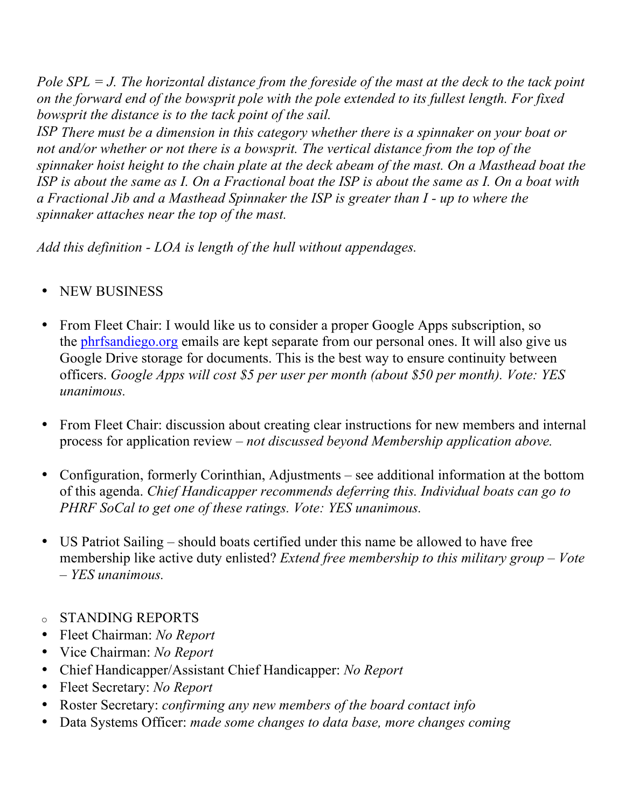*Pole SPL = J. The horizontal distance from the foreside of the mast at the deck to the tack point on the forward end of the bowsprit pole with the pole extended to its fullest length. For fixed bowsprit the distance is to the tack point of the sail.*

*ISP There must be a dimension in this category whether there is a spinnaker on your boat or not and/or whether or not there is a bowsprit. The vertical distance from the top of the spinnaker hoist height to the chain plate at the deck abeam of the mast. On a Masthead boat the ISP is about the same as I. On a Fractional boat the ISP is about the same as I. On a boat with a Fractional Jib and a Masthead Spinnaker the ISP is greater than I - up to where the spinnaker attaches near the top of the mast.* 

*Add this definition - LOA is length of the hull without appendages.* 

- NEW BUSINESS
- From Fleet Chair: I would like us to consider a proper Google Apps subscription, so the phrfsandiego.org emails are kept separate from our personal ones. It will also give us Google Drive storage for documents. This is the best way to ensure continuity between officers. *Google Apps will cost \$5 per user per month (about \$50 per month). Vote: YES unanimous.*
- From Fleet Chair: discussion about creating clear instructions for new members and internal process for application review – *not discussed beyond Membership application above.*
- Configuration, formerly Corinthian, Adjustments see additional information at the bottom of this agenda. *Chief Handicapper recommends deferring this. Individual boats can go to PHRF SoCal to get one of these ratings. Vote: YES unanimous.*
- US Patriot Sailing should boats certified under this name be allowed to have free membership like active duty enlisted? *Extend free membership to this military group – Vote – YES unanimous.*
- o STANDING REPORTS
- Fleet Chairman: *No Report*
- Vice Chairman: *No Report*
- Chief Handicapper/Assistant Chief Handicapper: *No Report*
- Fleet Secretary: *No Report*
- Roster Secretary: *confirming any new members of the board contact info*
- Data Systems Officer: *made some changes to data base, more changes coming*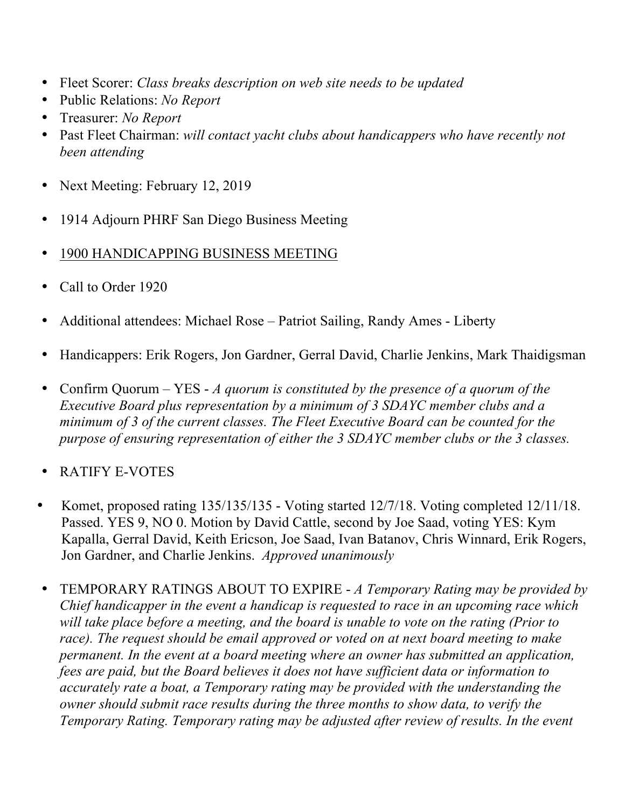- Fleet Scorer: *Class breaks description on web site needs to be updated*
- Public Relations: *No Report*
- Treasurer: *No Report*
- Past Fleet Chairman: *will contact yacht clubs about handicappers who have recently not been attending*
- Next Meeting: February 12, 2019
- 1914 Adjourn PHRF San Diego Business Meeting
- 1900 HANDICAPPING BUSINESS MEETING
- Call to Order 1920
- Additional attendees: Michael Rose Patriot Sailing, Randy Ames Liberty
- Handicappers: Erik Rogers, Jon Gardner, Gerral David, Charlie Jenkins, Mark Thaidigsman
- Confirm Quorum YES *A quorum is constituted by the presence of a quorum of the Executive Board plus representation by a minimum of 3 SDAYC member clubs and a minimum of 3 of the current classes. The Fleet Executive Board can be counted for the purpose of ensuring representation of either the 3 SDAYC member clubs or the 3 classes.*
- RATIFY E-VOTES
- Komet, proposed rating 135/135/135 Voting started 12/7/18. Voting completed 12/11/18. Passed. YES 9, NO 0. Motion by David Cattle, second by Joe Saad, voting YES: Kym Kapalla, Gerral David, Keith Ericson, Joe Saad, Ivan Batanov, Chris Winnard, Erik Rogers, Jon Gardner, and Charlie Jenkins. *Approved unanimously*
- TEMPORARY RATINGS ABOUT TO EXPIRE *A Temporary Rating may be provided by Chief handicapper in the event a handicap is requested to race in an upcoming race which will take place before a meeting, and the board is unable to vote on the rating (Prior to race). The request should be email approved or voted on at next board meeting to make permanent. In the event at a board meeting where an owner has submitted an application, fees are paid, but the Board believes it does not have sufficient data or information to accurately rate a boat, a Temporary rating may be provided with the understanding the owner should submit race results during the three months to show data, to verify the Temporary Rating. Temporary rating may be adjusted after review of results. In the event*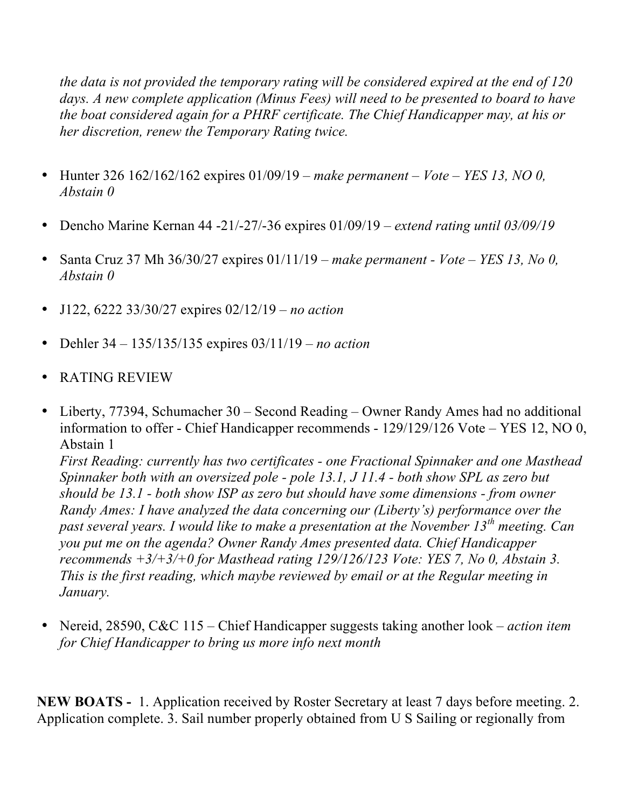*the data is not provided the temporary rating will be considered expired at the end of 120 days. A new complete application (Minus Fees) will need to be presented to board to have the boat considered again for a PHRF certificate. The Chief Handicapper may, at his or her discretion, renew the Temporary Rating twice.*

- Hunter 326 162/162/162 expires 01/09/19 *make permanent – Vote – YES 13, NO 0, Abstain 0*
- Dencho Marine Kernan 44 -21/-27/-36 expires 01/09/19 *extend rating until 03/09/19*
- Santa Cruz 37 Mh 36/30/27 expires 01/11/19 *make permanent - Vote – YES 13, No 0, Abstain 0*
- J122, 6222 33/30/27 expires 02/12/19 *no action*
- Dehler 34 135/135/135 expires 03/11/19 *no action*
- RATING REVIEW
- Liberty, 77394, Schumacher 30 Second Reading Owner Randy Ames had no additional information to offer - Chief Handicapper recommends - 129/129/126 Vote – YES 12, NO 0, Abstain 1 *First Reading: currently has two certificates - one Fractional Spinnaker and one Masthead Spinnaker both with an oversized pole - pole 13.1, J 11.4 - both show SPL as zero but should be 13.1 - both show ISP as zero but should have some dimensions - from owner Randy Ames: I have analyzed the data concerning our (Liberty's) performance over the past several years. I would like to make a presentation at the November 13th meeting. Can you put me on the agenda? Owner Randy Ames presented data. Chief Handicapper recommends +3/+3/+0 for Masthead rating 129/126/123 Vote: YES 7, No 0, Abstain 3. This is the first reading, which maybe reviewed by email or at the Regular meeting in January.*
- Nereid, 28590, C&C 115 Chief Handicapper suggests taking another look *action item for Chief Handicapper to bring us more info next month*

**NEW BOATS -** 1. Application received by Roster Secretary at least 7 days before meeting. 2. Application complete. 3. Sail number properly obtained from U S Sailing or regionally from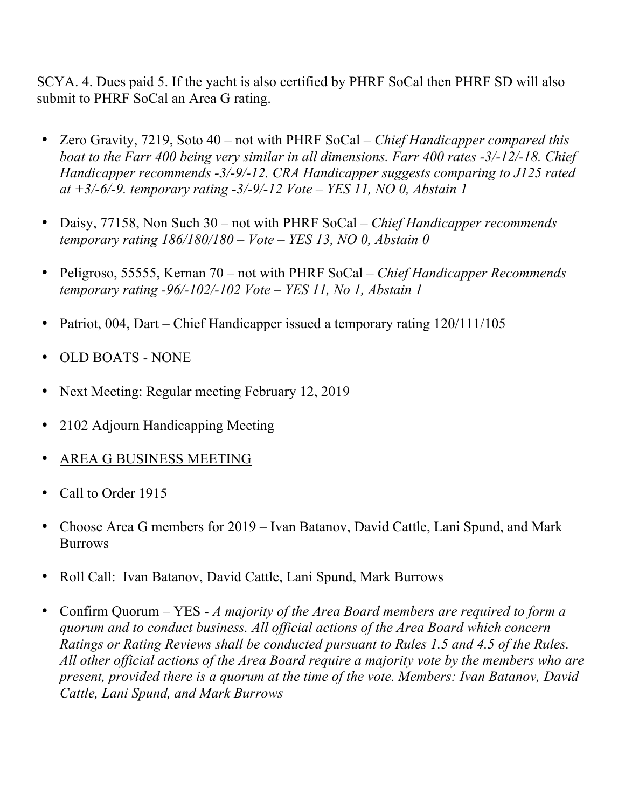SCYA. 4. Dues paid 5. If the yacht is also certified by PHRF SoCal then PHRF SD will also submit to PHRF SoCal an Area G rating.

- Zero Gravity, 7219, Soto 40 not with PHRF SoCal *Chief Handicapper compared this boat to the Farr 400 being very similar in all dimensions. Farr 400 rates -3/-12/-18. Chief Handicapper recommends -3/-9/-12. CRA Handicapper suggests comparing to J125 rated at +3/-6/-9. temporary rating -3/-9/-12 Vote – YES 11, NO 0, Abstain 1*
- Daisy, 77158, Non Such 30 not with PHRF SoCal *Chief Handicapper recommends temporary rating 186/180/180 – Vote – YES 13, NO 0, Abstain 0*
- Peligroso, 55555, Kernan 70 not with PHRF SoCal *Chief Handicapper Recommends temporary rating -96/-102/-102 Vote – YES 11, No 1, Abstain 1*
- Patriot, 004, Dart Chief Handicapper issued a temporary rating 120/111/105
- OLD BOATS NONE
- Next Meeting: Regular meeting February 12, 2019
- 2102 Adjourn Handicapping Meeting
- AREA G BUSINESS MEETING
- Call to Order 1915
- Choose Area G members for 2019 Ivan Batanov, David Cattle, Lani Spund, and Mark **Burrows**
- Roll Call: Ivan Batanov, David Cattle, Lani Spund, Mark Burrows
- Confirm Quorum YES *A majority of the Area Board members are required to form a quorum and to conduct business. All official actions of the Area Board which concern Ratings or Rating Reviews shall be conducted pursuant to Rules 1.5 and 4.5 of the Rules. All other official actions of the Area Board require a majority vote by the members who are present, provided there is a quorum at the time of the vote. Members: Ivan Batanov, David Cattle, Lani Spund, and Mark Burrows*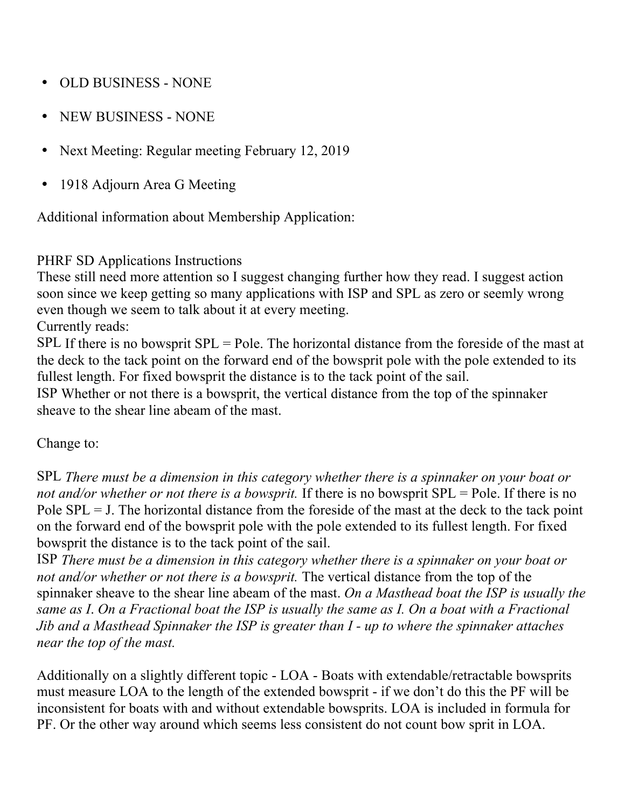- OLD BUSINESS NONE
- NEW BUSINESS NONE
- Next Meeting: Regular meeting February 12, 2019
- 1918 Adjourn Area G Meeting

Additional information about Membership Application:

## PHRF SD Applications Instructions

These still need more attention so I suggest changing further how they read. I suggest action soon since we keep getting so many applications with ISP and SPL as zero or seemly wrong even though we seem to talk about it at every meeting.

Currently reads:

SPL If there is no bowsprit SPL = Pole. The horizontal distance from the foreside of the mast at the deck to the tack point on the forward end of the bowsprit pole with the pole extended to its fullest length. For fixed bowsprit the distance is to the tack point of the sail.

ISP Whether or not there is a bowsprit, the vertical distance from the top of the spinnaker sheave to the shear line abeam of the mast.

## Change to:

SPL *There must be a dimension in this category whether there is a spinnaker on your boat or not and/or whether or not there is a bowsprit.* If there is no bowsprit SPL = Pole. If there is no Pole  $SPL = J$ . The horizontal distance from the foreside of the mast at the deck to the tack point on the forward end of the bowsprit pole with the pole extended to its fullest length. For fixed bowsprit the distance is to the tack point of the sail.

ISP *There must be a dimension in this category whether there is a spinnaker on your boat or not and/or whether or not there is a bowsprit.* The vertical distance from the top of the spinnaker sheave to the shear line abeam of the mast. *On a Masthead boat the ISP is usually the same as I*. *On a Fractional boat the ISP is usually the same as I. On a boat with a Fractional Jib and a Masthead Spinnaker the ISP is greater than I - up to where the spinnaker attaches near the top of the mast.* 

Additionally on a slightly different topic - LOA - Boats with extendable/retractable bowsprits must measure LOA to the length of the extended bowsprit - if we don't do this the PF will be inconsistent for boats with and without extendable bowsprits. LOA is included in formula for PF. Or the other way around which seems less consistent do not count bow sprit in LOA.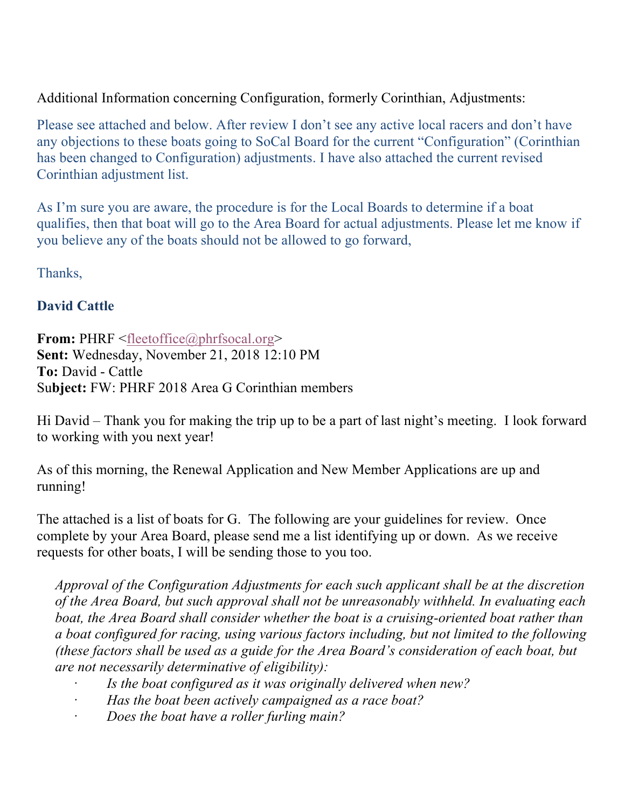Additional Information concerning Configuration, formerly Corinthian, Adjustments:

Please see attached and below. After review I don't see any active local racers and don't have any objections to these boats going to SoCal Board for the current "Configuration" (Corinthian has been changed to Configuration) adjustments. I have also attached the current revised Corinthian adjustment list.

As I'm sure you are aware, the procedure is for the Local Boards to determine if a boat qualifies, then that boat will go to the Area Board for actual adjustments. Please let me know if you believe any of the boats should not be allowed to go forward,

Thanks,

## **David Cattle**

**From:** PHRF <fleetoffice@phrfsocal.org> **Sent:** Wednesday, November 21, 2018 12:10 PM **To:** David - Cattle Su**bject:** FW: PHRF 2018 Area G Corinthian members

Hi David – Thank you for making the trip up to be a part of last night's meeting. I look forward to working with you next year!

As of this morning, the Renewal Application and New Member Applications are up and running!

The attached is a list of boats for G. The following are your guidelines for review. Once complete by your Area Board, please send me a list identifying up or down. As we receive requests for other boats, I will be sending those to you too.

*Approval of the Configuration Adjustments for each such applicant shall be at the discretion of the Area Board, but such approval shall not be unreasonably withheld. In evaluating each boat, the Area Board shall consider whether the boat is a cruising-oriented boat rather than a boat configured for racing, using various factors including, but not limited to the following (these factors shall be used as a guide for the Area Board's consideration of each boat, but are not necessarily determinative of eligibility):*

- · *Is the boat configured as it was originally delivered when new?*
- · *Has the boat been actively campaigned as a race boat?*
- · *Does the boat have a roller furling main?*